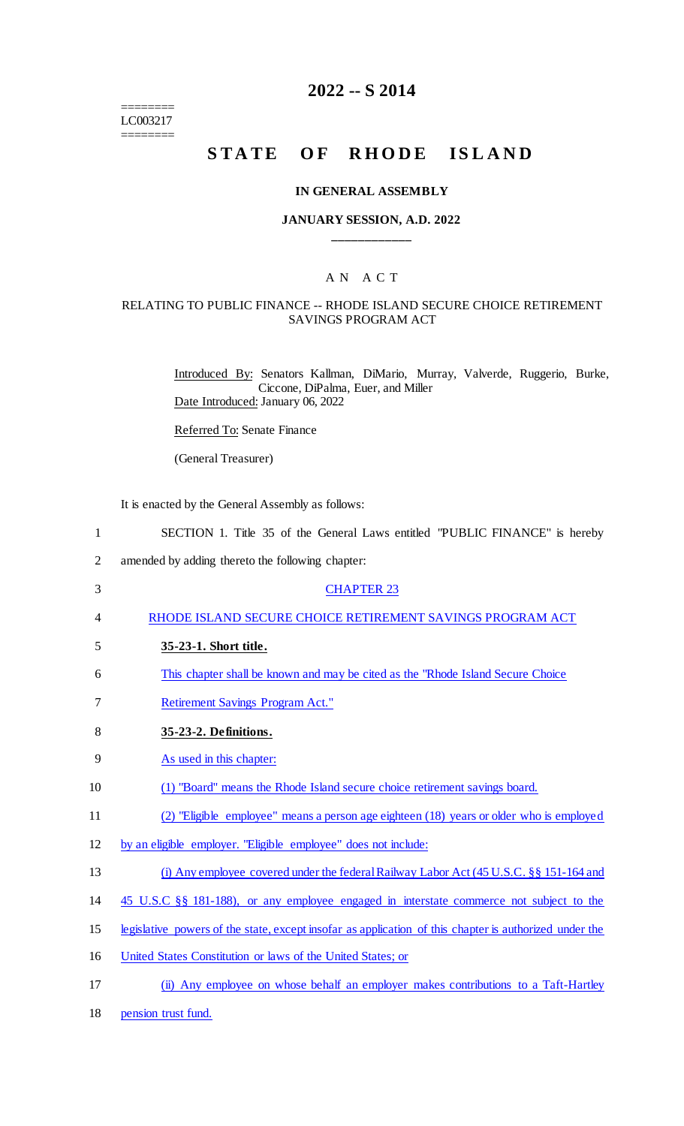======== LC003217 ========

## **2022 -- S 2014**

# **STATE OF RHODE ISLAND**

#### **IN GENERAL ASSEMBLY**

## **JANUARY SESSION, A.D. 2022 \_\_\_\_\_\_\_\_\_\_\_\_**

## A N A C T

#### RELATING TO PUBLIC FINANCE -- RHODE ISLAND SECURE CHOICE RETIREMENT SAVINGS PROGRAM ACT

Introduced By: Senators Kallman, DiMario, Murray, Valverde, Ruggerio, Burke, Ciccone, DiPalma, Euer, and Miller Date Introduced: January 06, 2022

Referred To: Senate Finance

(General Treasurer)

It is enacted by the General Assembly as follows:

| $\mathbf{1}$ | SECTION 1. Title 35 of the General Laws entitled "PUBLIC FINANCE" is hereby                            |
|--------------|--------------------------------------------------------------------------------------------------------|
| 2            | amended by adding thereto the following chapter:                                                       |
| 3            | <b>CHAPTER 23</b>                                                                                      |
| 4            | RHODE ISLAND SECURE CHOICE RETIREMENT SAVINGS PROGRAM ACT                                              |
| 5            | 35-23-1. Short title.                                                                                  |
| 6            | This chapter shall be known and may be cited as the "Rhode Island Secure Choice"                       |
| 7            | <b>Retirement Savings Program Act."</b>                                                                |
| 8            | 35-23-2. Definitions.                                                                                  |
| 9            | As used in this chapter:                                                                               |
| 10           | (1) "Board" means the Rhode Island secure choice retirement savings board.                             |
| 11           | (2) "Eligible employee" means a person age eighteen (18) years or older who is employed                |
| 12           | by an eligible employer. "Eligible employee" does not include:                                         |
| 13           | (i) Any employee covered under the federal Railway Labor Act (45 U.S.C. §§ 151-164 and                 |
| 14           | 45 U.S.C §§ 181-188), or any employee engaged in interstate commerce not subject to the                |
| 15           | legislative powers of the state, except insofar as application of this chapter is authorized under the |
| 16           | United States Constitution or laws of the United States; or                                            |
| 17           | (ii) Any employee on whose behalf an employer makes contributions to a Taft-Hartley                    |
| 18           | pension trust fund.                                                                                    |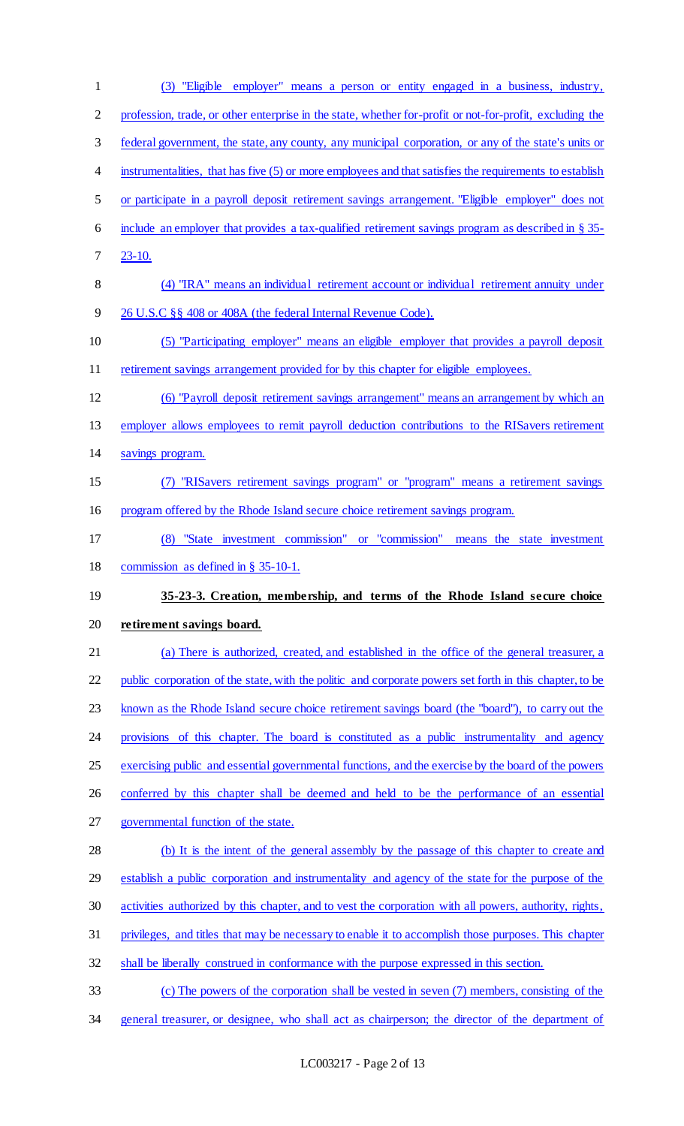(3) "Eligible employer" means a person or entity engaged in a business, industry, 2 profession, trade, or other enterprise in the state, whether for-profit or not-for-profit, excluding the federal government, the state, any county, any municipal corporation, or any of the state's units or 4 instrumentalities, that has five (5) or more employees and that satisfies the requirements to establish or participate in a payroll deposit retirement savings arrangement. "Eligible employer" does not include an employer that provides a tax-qualified retirement savings program as described in § 35- 23-10. (4) "IRA" means an individual retirement account or individual retirement annuity under 26 U.S.C §§ 408 or 408A (the federal Internal Revenue Code). (5) "Participating employer" means an eligible employer that provides a payroll deposit retirement savings arrangement provided for by this chapter for eligible employees. (6) "Payroll deposit retirement savings arrangement" means an arrangement by which an employer allows employees to remit payroll deduction contributions to the RISavers retirement savings program. (7) "RISavers retirement savings program" or "program" means a retirement savings program offered by the Rhode Island secure choice retirement savings program. (8) "State investment commission" or "commission" means the state investment commission as defined in § 35-10-1. **35-23-3. Creation, membership, and terms of the Rhode Island secure choice retirement savings board.**  (a) There is authorized, created, and established in the office of the general treasurer, a 22 public corporation of the state, with the politic and corporate powers set forth in this chapter, to be known as the Rhode Island secure choice retirement savings board (the "board"), to carry out the provisions of this chapter. The board is constituted as a public instrumentality and agency exercising public and essential governmental functions, and the exercise by the board of the powers conferred by this chapter shall be deemed and held to be the performance of an essential governmental function of the state. 28 (b) It is the intent of the general assembly by the passage of this chapter to create and establish a public corporation and instrumentality and agency of the state for the purpose of the activities authorized by this chapter, and to vest the corporation with all powers, authority, rights, privileges, and titles that may be necessary to enable it to accomplish those purposes. This chapter shall be liberally construed in conformance with the purpose expressed in this section. (c) The powers of the corporation shall be vested in seven (7) members, consisting of the general treasurer, or designee, who shall act as chairperson; the director of the department of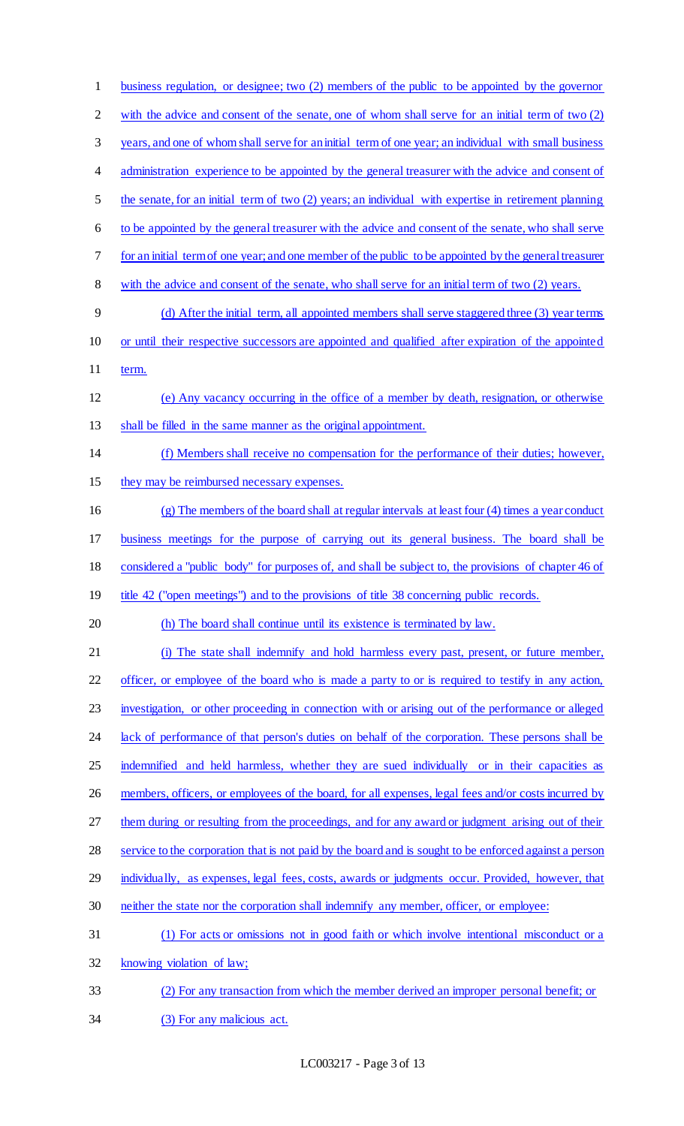business regulation, or designee; two (2) members of the public to be appointed by the governor 2 with the advice and consent of the senate, one of whom shall serve for an initial term of two (2) years, and one of whom shall serve for an initial term of one year; an individual with small business 4 administration experience to be appointed by the general treasurer with the advice and consent of the senate, for an initial term of two (2) years; an individual with expertise in retirement planning to be appointed by the general treasurer with the advice and consent of the senate, who shall serve for an initial term of one year; and one member of the public to be appointed by the general treasurer 8 with the advice and consent of the senate, who shall serve for an initial term of two (2) years. (d) After the initial term, all appointed members shall serve staggered three (3) year terms or until their respective successors are appointed and qualified after expiration of the appointed 11 term. (e) Any vacancy occurring in the office of a member by death, resignation, or otherwise shall be filled in the same manner as the original appointment. (f) Members shall receive no compensation for the performance of their duties; however, 15 they may be reimbursed necessary expenses. (g) The members of the board shall at regular intervals at least four (4) times a year conduct business meetings for the purpose of carrying out its general business. The board shall be considered a "public body" for purposes of, and shall be subject to, the provisions of chapter 46 of 19 title 42 ("open meetings") and to the provisions of title 38 concerning public records. (h) The board shall continue until its existence is terminated by law. (i) The state shall indemnify and hold harmless every past, present, or future member, officer, or employee of the board who is made a party to or is required to testify in any action, investigation, or other proceeding in connection with or arising out of the performance or alleged 24 lack of performance of that person's duties on behalf of the corporation. These persons shall be 25 indemnified and held harmless, whether they are sued individually or in their capacities as 26 members, officers, or employees of the board, for all expenses, legal fees and/or costs incurred by 27 them during or resulting from the proceedings, and for any award or judgment arising out of their service to the corporation that is not paid by the board and is sought to be enforced against a person 29 individually, as expenses, legal fees, costs, awards or judgments occur. Provided, however, that neither the state nor the corporation shall indemnify any member, officer, or employee: (1) For acts or omissions not in good faith or which involve intentional misconduct or a knowing violation of law; (2) For any transaction from which the member derived an improper personal benefit; or (3) For any malicious act.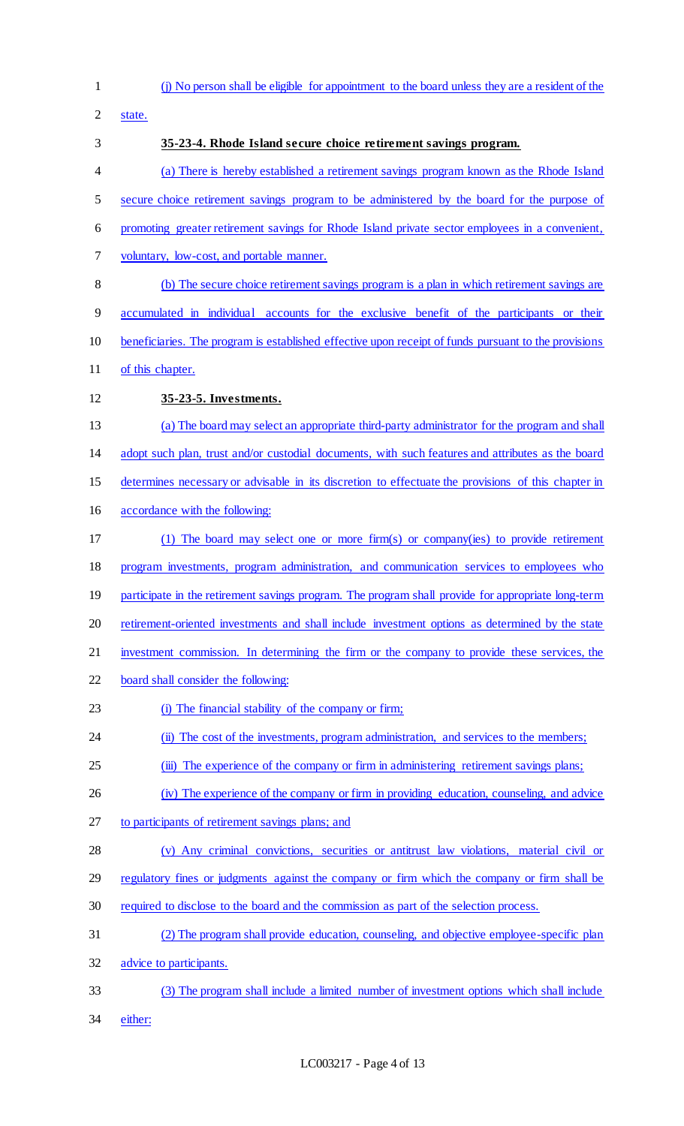(j) No person shall be eligible for appointment to the board unless they are a resident of the state. **35-23-4. Rhode Island secure choice retirement savings program.**  (a) There is hereby established a retirement savings program known as the Rhode Island 5 secure choice retirement savings program to be administered by the board for the purpose of promoting greater retirement savings for Rhode Island private sector employees in a convenient, voluntary, low-cost, and portable manner. (b) The secure choice retirement savings program is a plan in which retirement savings are accumulated in individual accounts for the exclusive benefit of the participants or their beneficiaries. The program is established effective upon receipt of funds pursuant to the provisions of this chapter. **35-23-5. Investments.**  (a) The board may select an appropriate third-party administrator for the program and shall adopt such plan, trust and/or custodial documents, with such features and attributes as the board determines necessary or advisable in its discretion to effectuate the provisions of this chapter in accordance with the following: (1) The board may select one or more firm(s) or company(ies) to provide retirement program investments, program administration, and communication services to employees who 19 participate in the retirement savings program. The program shall provide for appropriate long-term 20 retirement-oriented investments and shall include investment options as determined by the state investment commission. In determining the firm or the company to provide these services, the board shall consider the following: (i) The financial stability of the company or firm; 24 (ii) The cost of the investments, program administration, and services to the members; 25 (iii) The experience of the company or firm in administering retirement savings plans; (iv) The experience of the company or firm in providing education, counseling, and advice to participants of retirement savings plans; and (v) Any criminal convictions, securities or antitrust law violations, material civil or 29 regulatory fines or judgments against the company or firm which the company or firm shall be required to disclose to the board and the commission as part of the selection process. (2) The program shall provide education, counseling, and objective employee-specific plan 32 advice to participants. (3) The program shall include a limited number of investment options which shall include either: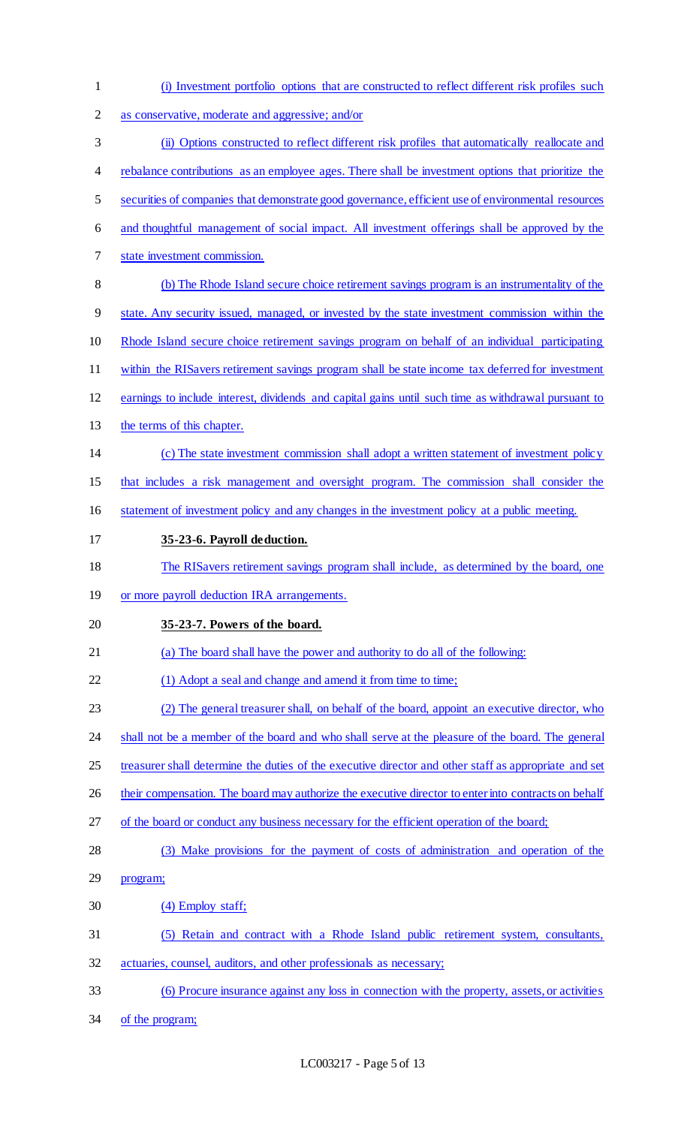| $\mathbf{1}$   | (i) Investment portfolio options that are constructed to reflect different risk profiles such         |
|----------------|-------------------------------------------------------------------------------------------------------|
| $\overline{2}$ | as conservative, moderate and aggressive; and/or                                                      |
| 3              | (ii) Options constructed to reflect different risk profiles that automatically reallocate and         |
| 4              | rebalance contributions as an employee ages. There shall be investment options that prioritize the    |
| 5              | securities of companies that demonstrate good governance, efficient use of environmental resources    |
| 6              | and thoughtful management of social impact. All investment offerings shall be approved by the         |
| 7              | state investment commission.                                                                          |
| 8              | (b) The Rhode Island secure choice retirement savings program is an instrumentality of the            |
| 9              | state. Any security issued, managed, or invested by the state investment commission within the        |
| 10             | Rhode Island secure choice retirement savings program on behalf of an individual participating        |
| 11             | within the RIS avers retirement savings program shall be state income tax deferred for investment     |
| 12             | earnings to include interest, dividends and capital gains until such time as withdrawal pursuant to   |
| 13             | the terms of this chapter.                                                                            |
| 14             | (c) The state investment commission shall adopt a written statement of investment policy              |
| 15             | that includes a risk management and oversight program. The commission shall consider the              |
| 16             | statement of investment policy and any changes in the investment policy at a public meeting.          |
| 17             | 35-23-6. Payroll deduction.                                                                           |
| 18             | The RIS avers retirement savings program shall include, as determined by the board, one               |
| 19             | or more payroll deduction IRA arrangements.                                                           |
| 20             | 35-23-7. Powers of the board.                                                                         |
| 21             | (a) The board shall have the power and authority to do all of the following:                          |
| 22             | (1) Adopt a seal and change and amend it from time to time;                                           |
| 23             | (2) The general treasurer shall, on behalf of the board, appoint an executive director, who           |
| 24             | shall not be a member of the board and who shall serve at the pleasure of the board. The general      |
| 25             | treasurer shall determine the duties of the executive director and other staff as appropriate and set |
| 26             | their compensation. The board may authorize the executive director to enter into contracts on behalf  |
| 27             | of the board or conduct any business necessary for the efficient operation of the board;              |
| 28             | (3) Make provisions for the payment of costs of administration and operation of the                   |
| 29             | program;                                                                                              |
| 30             | (4) Employ staff;                                                                                     |
| 31             | (5) Retain and contract with a Rhode Island public retirement system, consultants,                    |
| 32             | actuaries, counsel, auditors, and other professionals as necessary;                                   |
| 33             | (6) Procure insurance against any loss in connection with the property, assets, or activities         |
| 34             | of the program;                                                                                       |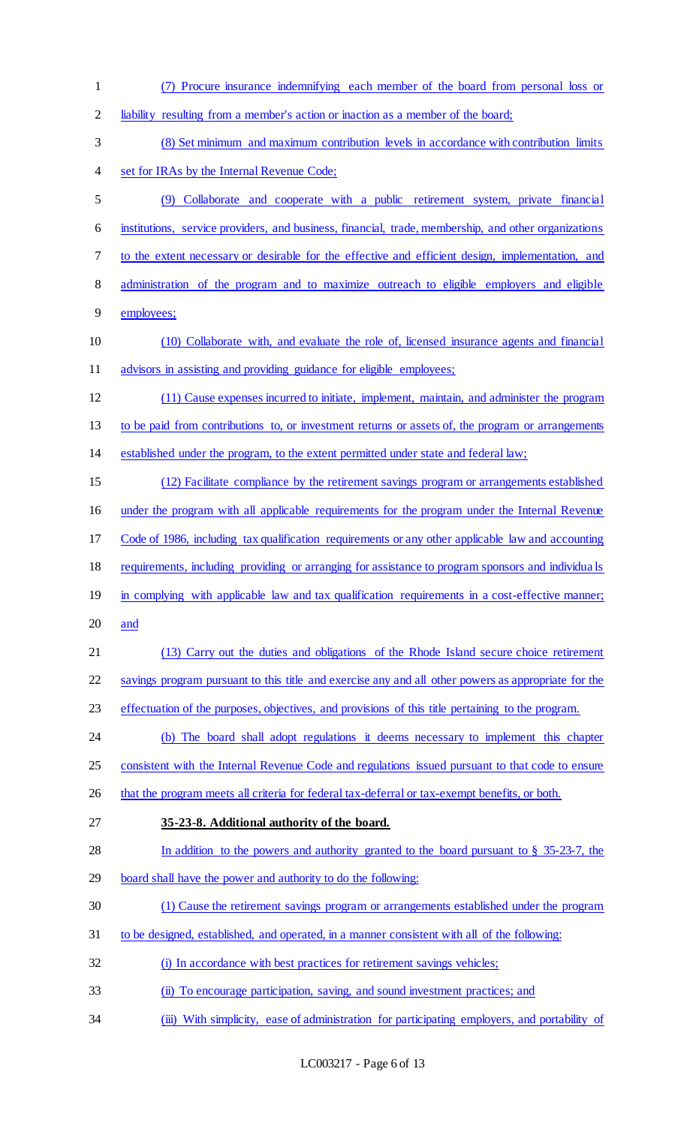(7) Procure insurance indemnifying each member of the board from personal loss or liability resulting from a member's action or inaction as a member of the board; (8) Set minimum and maximum contribution levels in accordance with contribution limits set for IRAs by the Internal Revenue Code; (9) Collaborate and cooperate with a public retirement system, private financial institutions, service providers, and business, financial, trade, membership, and other organizations to the extent necessary or desirable for the effective and efficient design, implementation, and administration of the program and to maximize outreach to eligible employers and eligible employees; (10) Collaborate with, and evaluate the role of, licensed insurance agents and financial 11 advisors in assisting and providing guidance for eligible employees; (11) Cause expenses incurred to initiate, implement, maintain, and administer the program to be paid from contributions to, or investment returns or assets of, the program or arrangements established under the program, to the extent permitted under state and federal law; (12) Facilitate compliance by the retirement savings program or arrangements established under the program with all applicable requirements for the program under the Internal Revenue Code of 1986, including tax qualification requirements or any other applicable law and accounting 18 requirements, including providing or arranging for assistance to program sponsors and individuals 19 in complying with applicable law and tax qualification requirements in a cost-effective manner; and (13) Carry out the duties and obligations of the Rhode Island secure choice retirement savings program pursuant to this title and exercise any and all other powers as appropriate for the effectuation of the purposes, objectives, and provisions of this title pertaining to the program. (b) The board shall adopt regulations it deems necessary to implement this chapter 25 consistent with the Internal Revenue Code and regulations issued pursuant to that code to ensure 26 that the program meets all criteria for federal tax-deferral or tax-exempt benefits, or both. **35-23-8. Additional authority of the board.**  In addition to the powers and authority granted to the board pursuant to § 35-23-7, the board shall have the power and authority to do the following: (1) Cause the retirement savings program or arrangements established under the program to be designed, established, and operated, in a manner consistent with all of the following: 32 (i) In accordance with best practices for retirement savings vehicles; (ii) To encourage participation, saving, and sound investment practices; and 34 (iii) With simplicity, ease of administration for participating employers, and portability of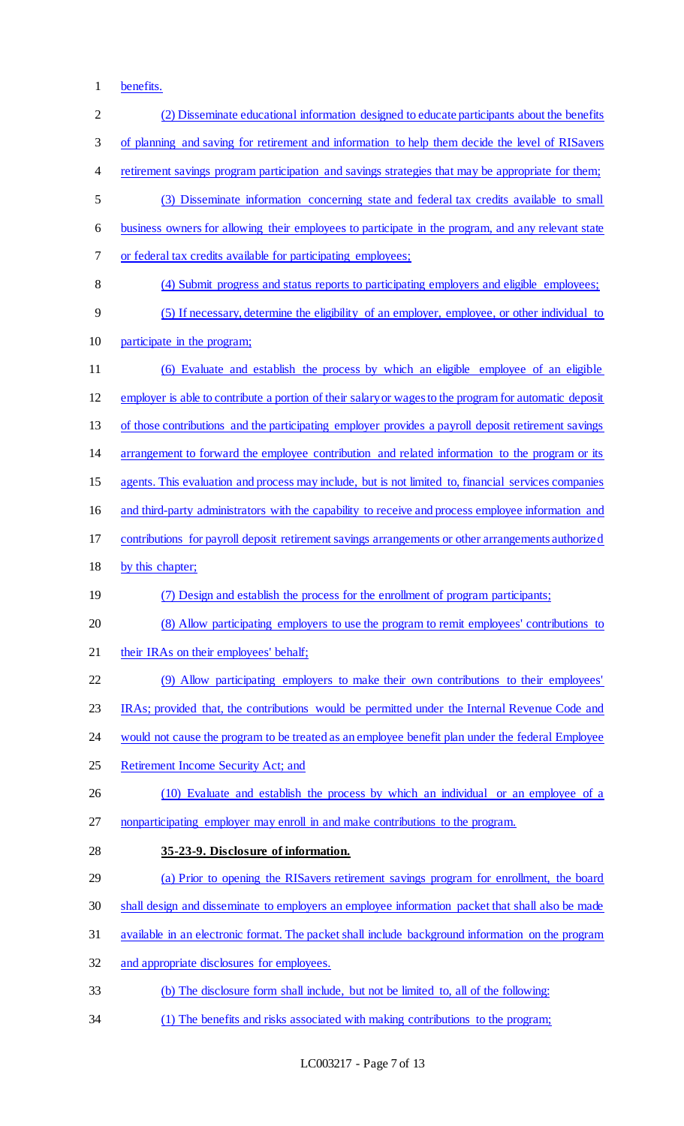benefits.

| $\overline{2}$ | (2) Disseminate educational information designed to educate participants about the benefits            |
|----------------|--------------------------------------------------------------------------------------------------------|
| 3              | of planning and saving for retirement and information to help them decide the level of RISavers        |
| 4              | retirement savings program participation and savings strategies that may be appropriate for them;      |
| 5              | (3) Disseminate information concerning state and federal tax credits available to small                |
| 6              | business owners for allowing their employees to participate in the program, and any relevant state     |
| 7              | or federal tax credits available for participating employees;                                          |
| 8              | (4) Submit progress and status reports to participating employers and eligible employees;              |
| 9              | (5) If necessary, determine the eligibility of an employer, employee, or other individual to           |
| 10             | participate in the program;                                                                            |
| 11             | (6) Evaluate and establish the process by which an eligible employee of an eligible                    |
| 12             | employer is able to contribute a portion of their salary or wages to the program for automatic deposit |
| 13             | of those contributions and the participating employer provides a payroll deposit retirement savings    |
| 14             | arrangement to forward the employee contribution and related information to the program or its         |
| 15             | agents. This evaluation and process may include, but is not limited to, financial services companies   |
| 16             | and third-party administrators with the capability to receive and process employee information and     |
| 17             | contributions for payroll deposit retirement savings arrangements or other arrangements authorized     |
|                | by this chapter;                                                                                       |
| 18             |                                                                                                        |
| 19             | (7) Design and establish the process for the enrollment of program participants;                       |
| 20             | (8) Allow participating employers to use the program to remit employees' contributions to              |
| 21             | their IRAs on their employees' behalf;                                                                 |
| 22             | (9) Allow participating employers to make their own contributions to their employees'                  |
| 23             | IRAs; provided that, the contributions would be permitted under the Internal Revenue Code and          |
| 24             | would not cause the program to be treated as an employee benefit plan under the federal Employee       |
| 25             | Retirement Income Security Act; and                                                                    |
| 26             | (10) Evaluate and establish the process by which an individual or an employee of a                     |
| 27             | nonparticipating employer may enroll in and make contributions to the program.                         |
| 28             | 35-23-9. Disclosure of information.                                                                    |
| 29             | (a) Prior to opening the RISavers retirement savings program for enrollment, the board                 |
| 30             | shall design and disseminate to employers an employee information packet that shall also be made       |
| 31             | available in an electronic format. The packet shall include background information on the program      |
| 32             | and appropriate disclosures for employees.                                                             |
| 33             | (b) The disclosure form shall include, but not be limited to, all of the following:                    |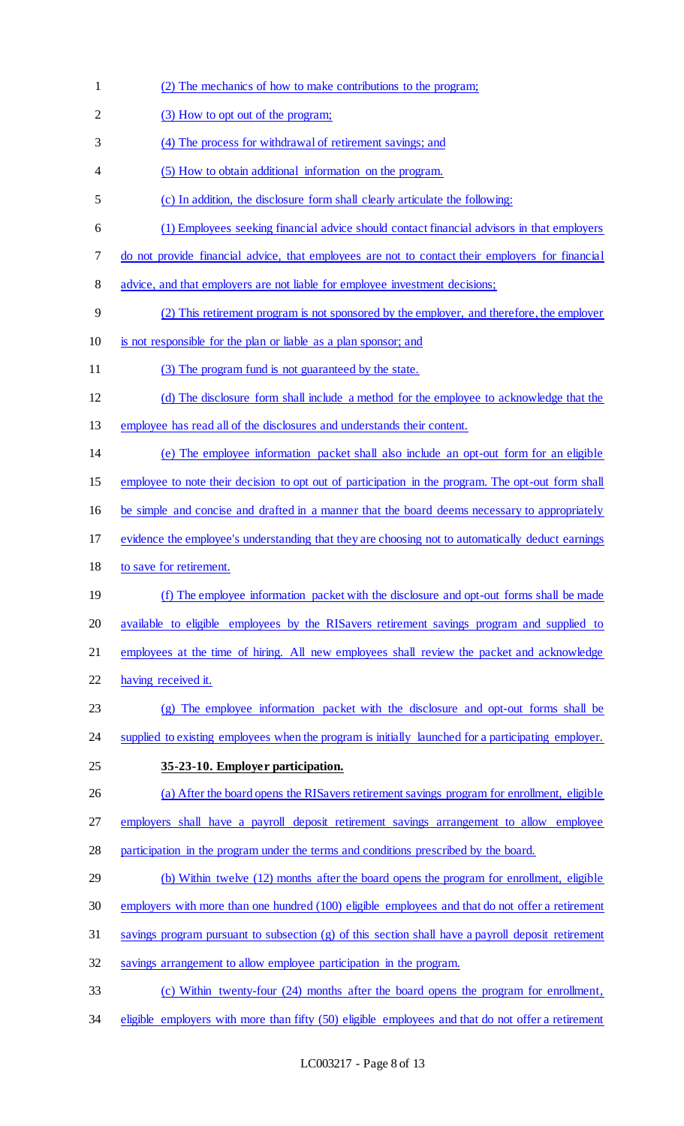(2) The mechanics of how to make contributions to the program; 2 (3) How to opt out of the program; (4) The process for withdrawal of retirement savings; and (5) How to obtain additional information on the program. (c) In addition, the disclosure form shall clearly articulate the following: (1) Employees seeking financial advice should contact financial advisors in that employers do not provide financial advice, that employees are not to contact their employers for financial 8 advice, and that employers are not liable for employee investment decisions; (2) This retirement program is not sponsored by the employer, and therefore, the employer is not responsible for the plan or liable as a plan sponsor; and (3) The program fund is not guaranteed by the state. (d) The disclosure form shall include a method for the employee to acknowledge that the employee has read all of the disclosures and understands their content. (e) The employee information packet shall also include an opt-out form for an eligible employee to note their decision to opt out of participation in the program. The opt-out form shall be simple and concise and drafted in a manner that the board deems necessary to appropriately evidence the employee's understanding that they are choosing not to automatically deduct earnings to save for retirement. (f) The employee information packet with the disclosure and opt-out forms shall be made available to eligible employees by the RISavers retirement savings program and supplied to employees at the time of hiring. All new employees shall review the packet and acknowledge having received it. (g) The employee information packet with the disclosure and opt-out forms shall be 24 supplied to existing employees when the program is initially launched for a participating employer. **35-23-10. Employer participation.**  26 (a) After the board opens the RIS avers retirement savings program for enrollment, eligible employers shall have a payroll deposit retirement savings arrangement to allow employee participation in the program under the terms and conditions prescribed by the board. 29 (b) Within twelve (12) months after the board opens the program for enrollment, eligible employers with more than one hundred (100) eligible employees and that do not offer a retirement savings program pursuant to subsection (g) of this section shall have a payroll deposit retirement savings arrangement to allow employee participation in the program. (c) Within twenty-four (24) months after the board opens the program for enrollment, 34 eligible employers with more than fifty (50) eligible employees and that do not offer a retirement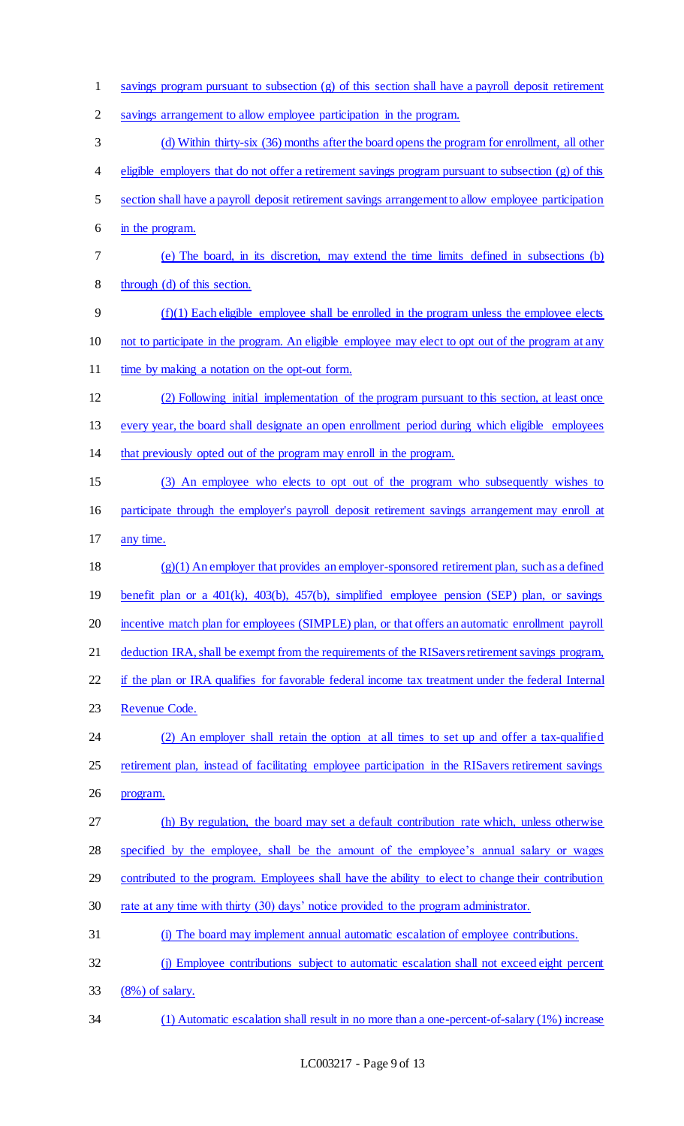savings program pursuant to subsection (g) of this section shall have a payroll deposit retirement savings arrangement to allow employee participation in the program. (d) Within thirty-six (36) months after the board opens the program for enrollment, all other eligible employers that do not offer a retirement savings program pursuant to subsection (g) of this section shall have a payroll deposit retirement savings arrangement to allow employee participation in the program. (e) The board, in its discretion, may extend the time limits defined in subsections (b) through (d) of this section. (f)(1) Each eligible employee shall be enrolled in the program unless the employee elects not to participate in the program. An eligible employee may elect to opt out of the program at any 11 time by making a notation on the opt-out form. (2) Following initial implementation of the program pursuant to this section, at least once every year, the board shall designate an open enrollment period during which eligible employees that previously opted out of the program may enroll in the program. (3) An employee who elects to opt out of the program who subsequently wishes to participate through the employer's payroll deposit retirement savings arrangement may enroll at any time. (g)(1) An employer that provides an employer-sponsored retirement plan, such as a defined benefit plan or a 401(k), 403(b), 457(b), simplified employee pension (SEP) plan, or savings 20 incentive match plan for employees (SIMPLE) plan, or that offers an automatic enrollment payroll deduction IRA, shall be exempt from the requirements of the RISavers retirement savings program, 22 if the plan or IRA qualifies for favorable federal income tax treatment under the federal Internal Revenue Code. (2) An employer shall retain the option at all times to set up and offer a tax-qualified retirement plan, instead of facilitating employee participation in the RISavers retirement savings program. (h) By regulation, the board may set a default contribution rate which, unless otherwise specified by the employee, shall be the amount of the employee's annual salary or wages 29 contributed to the program. Employees shall have the ability to elect to change their contribution rate at any time with thirty (30) days' notice provided to the program administrator. (i) The board may implement annual automatic escalation of employee contributions. (j) Employee contributions subject to automatic escalation shall not exceed eight percent (8%) of salary. (1) Automatic escalation shall result in no more than a one-percent-of-salary (1%) increase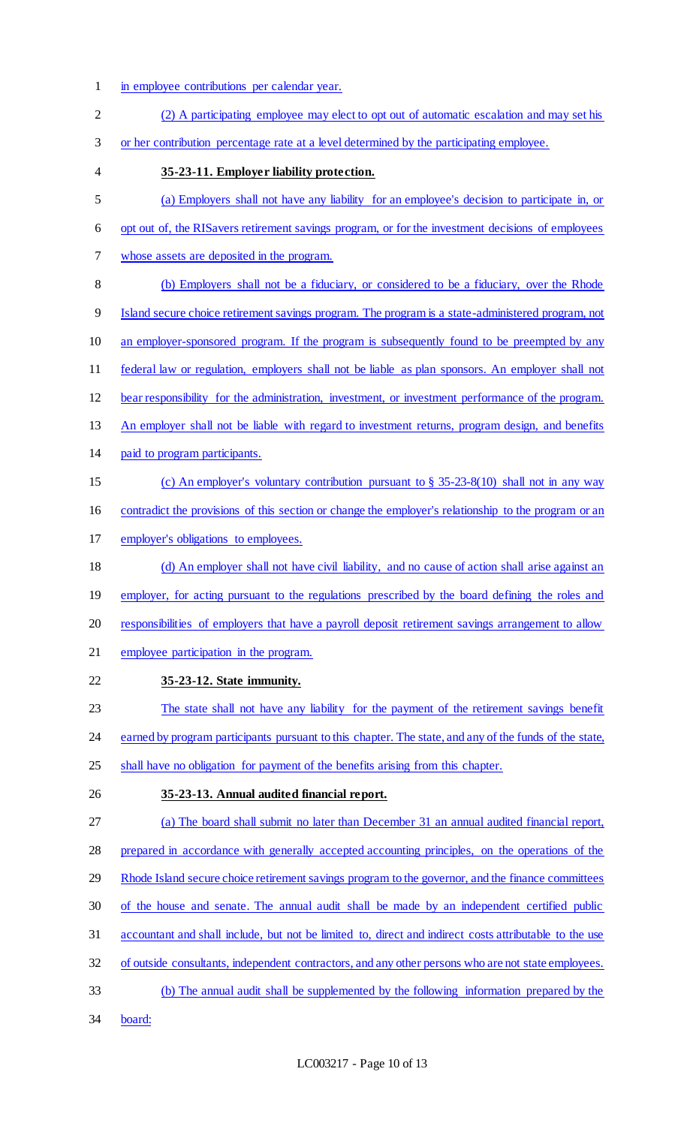- in employee contributions per calendar year.
- (2) A participating employee may elect to opt out of automatic escalation and may set his or her contribution percentage rate at a level determined by the participating employee. **35-23-11. Employer liability protection.**  (a) Employers shall not have any liability for an employee's decision to participate in, or opt out of, the RISavers retirement savings program, or for the investment decisions of employees whose assets are deposited in the program. (b) Employers shall not be a fiduciary, or considered to be a fiduciary, over the Rhode Island secure choice retirement savings program. The program is a state-administered program, not an employer-sponsored program. If the program is subsequently found to be preempted by any federal law or regulation, employers shall not be liable as plan sponsors. An employer shall not bear responsibility for the administration, investment, or investment performance of the program. 13 An employer shall not be liable with regard to investment returns, program design, and benefits paid to program participants. (c) An employer's voluntary contribution pursuant to § 35-23-8(10) shall not in any way contradict the provisions of this section or change the employer's relationship to the program or an employer's obligations to employees. (d) An employer shall not have civil liability, and no cause of action shall arise against an 19 employer, for acting pursuant to the regulations prescribed by the board defining the roles and responsibilities of employers that have a payroll deposit retirement savings arrangement to allow employee participation in the program. **35-23-12. State immunity.**  The state shall not have any liability for the payment of the retirement savings benefit 24 earned by program participants pursuant to this chapter. The state, and any of the funds of the state, 25 shall have no obligation for payment of the benefits arising from this chapter. **35-23-13. Annual audited financial report.**  (a) The board shall submit no later than December 31 an annual audited financial report, prepared in accordance with generally accepted accounting principles, on the operations of the 29 Rhode Island secure choice retirement savings program to the governor, and the finance committees of the house and senate. The annual audit shall be made by an independent certified public accountant and shall include, but not be limited to, direct and indirect costs attributable to the use of outside consultants, independent contractors, and any other persons who are not state employees. (b) The annual audit shall be supplemented by the following information prepared by the board: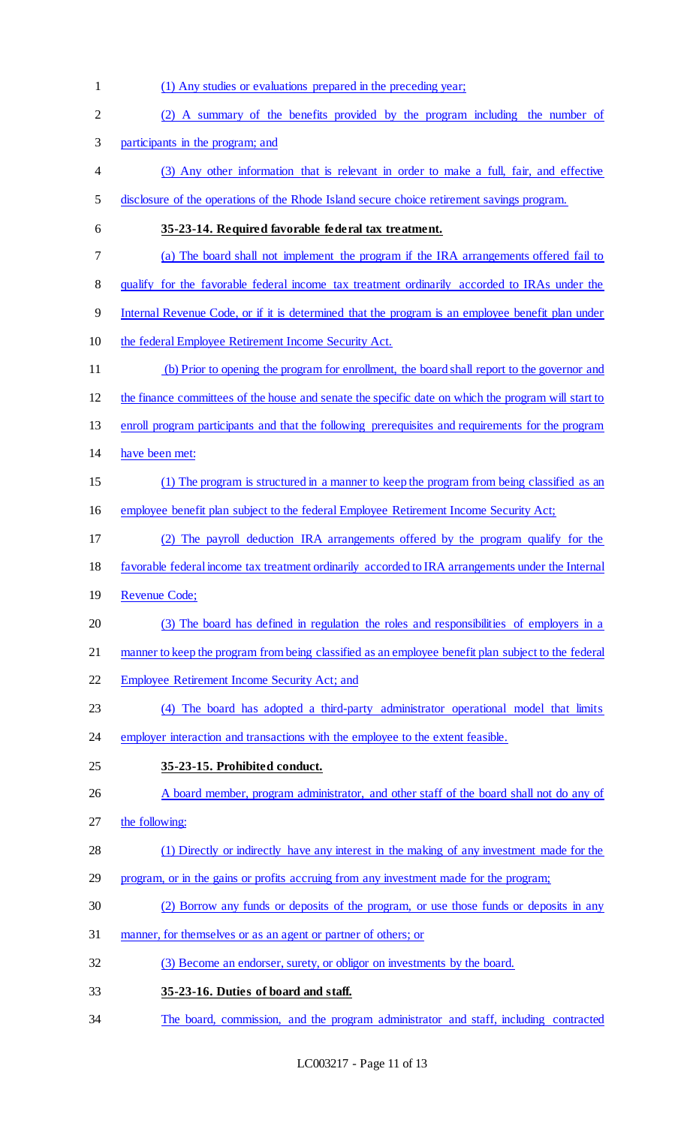(1) Any studies or evaluations prepared in the preceding year; (2) A summary of the benefits provided by the program including the number of participants in the program; and (3) Any other information that is relevant in order to make a full, fair, and effective disclosure of the operations of the Rhode Island secure choice retirement savings program. **35-23-14. Required favorable federal tax treatment.**  (a) The board shall not implement the program if the IRA arrangements offered fail to 8 qualify for the favorable federal income tax treatment ordinarily accorded to IRAs under the Internal Revenue Code, or if it is determined that the program is an employee benefit plan under the federal Employee Retirement Income Security Act. (b) Prior to opening the program for enrollment, the board shall report to the governor and the finance committees of the house and senate the specific date on which the program will start to enroll program participants and that the following prerequisites and requirements for the program have been met: (1) The program is structured in a manner to keep the program from being classified as an employee benefit plan subject to the federal Employee Retirement Income Security Act; (2) The payroll deduction IRA arrangements offered by the program qualify for the favorable federal income tax treatment ordinarily accorded to IRA arrangements under the Internal Revenue Code; (3) The board has defined in regulation the roles and responsibilities of employers in a manner to keep the program from being classified as an employee benefit plan subject to the federal Employee Retirement Income Security Act; and (4) The board has adopted a third-party administrator operational model that limits 24 employer interaction and transactions with the employee to the extent feasible. **35-23-15. Prohibited conduct.**  26 A board member, program administrator, and other staff of the board shall not do any of the following: (1) Directly or indirectly have any interest in the making of any investment made for the program, or in the gains or profits accruing from any investment made for the program; (2) Borrow any funds or deposits of the program, or use those funds or deposits in any manner, for themselves or as an agent or partner of others; or (3) Become an endorser, surety, or obligor on investments by the board. **35-23-16. Duties of board and staff.**  The board, commission, and the program administrator and staff, including contracted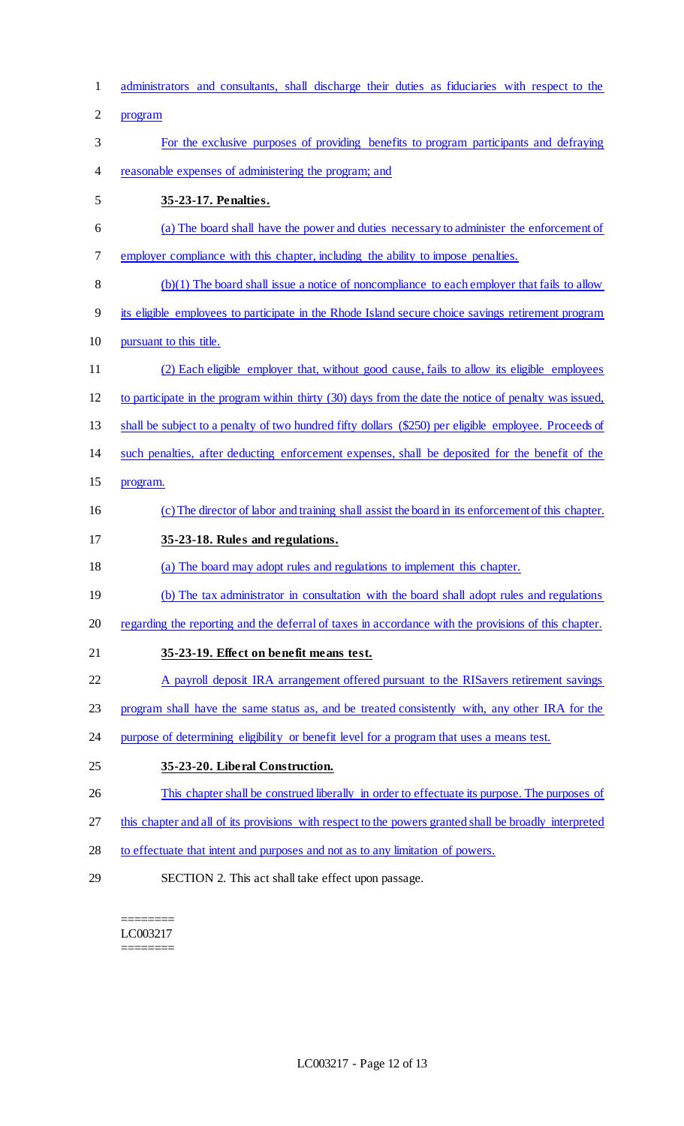| $\mathbf{1}$   | administrators and consultants, shall discharge their duties as fiduciaries with respect to the        |
|----------------|--------------------------------------------------------------------------------------------------------|
| $\overline{2}$ | program                                                                                                |
| 3              | For the exclusive purposes of providing benefits to program participants and defraying                 |
| 4              | reasonable expenses of administering the program; and                                                  |
| 5              | 35-23-17. Penalties.                                                                                   |
| 6              | (a) The board shall have the power and duties necessary to administer the enforcement of               |
| 7              | employer compliance with this chapter, including the ability to impose penalties.                      |
| 8              | $(b)(1)$ The board shall issue a notice of noncompliance to each employer that fails to allow          |
| 9              | its eligible employees to participate in the Rhode Island secure choice savings retirement program     |
| 10             | pursuant to this title.                                                                                |
| 11             | (2) Each eligible employer that, without good cause, fails to allow its eligible employees             |
| 12             | to participate in the program within thirty (30) days from the date the notice of penalty was issued,  |
| 13             | shall be subject to a penalty of two hundred fifty dollars (\$250) per eligible employee. Proceeds of  |
| 14             | such penalties, after deducting enforcement expenses, shall be deposited for the benefit of the        |
| 15             | program.                                                                                               |
| 16             | (c) The director of labor and training shall assist the board in its enforcement of this chapter.      |
| 17             | 35-23-18. Rules and regulations.                                                                       |
| 18             | (a) The board may adopt rules and regulations to implement this chapter.                               |
| 19             | (b) The tax administrator in consultation with the board shall adopt rules and regulations             |
| 20             | regarding the reporting and the deferral of taxes in accordance with the provisions of this chapter.   |
| 21             | 35-23-19. Effect on benefit means test.                                                                |
| 22             | A payroll deposit IRA arrangement offered pursuant to the RIS avers retirement savings                 |
| 23             | program shall have the same status as, and be treated consistently with, any other IRA for the         |
| 24             | purpose of determining eligibility or benefit level for a program that uses a means test.              |
| 25             | 35-23-20. Liberal Construction.                                                                        |
| 26             | This chapter shall be construed liberally in order to effectuate its purpose. The purposes of          |
| 27             | this chapter and all of its provisions with respect to the powers granted shall be broadly interpreted |
| 28             | to effectuate that intent and purposes and not as to any limitation of powers.                         |
| 29             | SECTION 2. This act shall take effect upon passage.                                                    |

 $=$ LC003217 ========